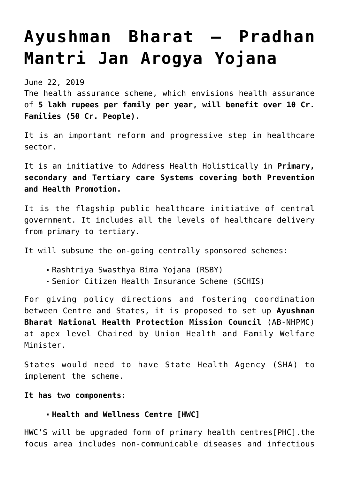# **[Ayushman Bharat – Pradhan](https://journalsofindia.com/ayushman-bharat-pradhan-mantri-jan-arogya-yojana/) [Mantri Jan Arogya Yojana](https://journalsofindia.com/ayushman-bharat-pradhan-mantri-jan-arogya-yojana/)**

June 22, 2019

The health assurance scheme, which envisions health assurance of **5 lakh rupees per family per year, will benefit over 10 Cr. Families (50 Cr. People).**

It is an important reform and progressive step in healthcare sector.

It is an initiative to Address Health Holistically in **Primary, secondary and Tertiary care Systems covering both Prevention and Health Promotion.**

It is the flagship public healthcare initiative of central government. It includes all the levels of healthcare delivery from primary to tertiary.

It will subsume the on-going centrally sponsored schemes:

- Rashtriya Swasthya Bima Yojana (RSBY)
- Senior Citizen Health Insurance Scheme (SCHIS)

For giving policy directions and fostering coordination between Centre and States, it is proposed to set up **Ayushman Bharat National Health Protection Mission Council** (AB-NHPMC) at apex level Chaired by Union Health and Family Welfare Minister.

States would need to have State Health Agency (SHA) to implement the scheme.

#### **It has two components:**

#### **Health and Wellness Centre [HWC]**

HWC'S will be upgraded form of primary health centres[PHC].the focus area includes non-communicable diseases and infectious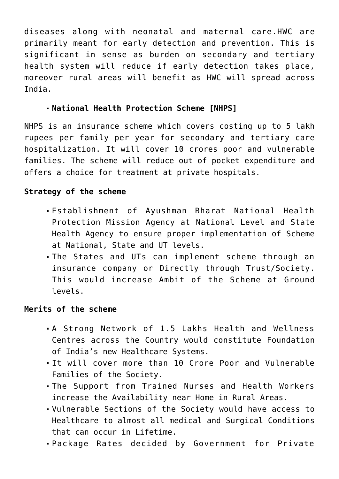diseases along with neonatal and maternal care.HWC are primarily meant for early detection and prevention. This is significant in sense as burden on secondary and tertiary health system will reduce if early detection takes place, moreover rural areas will benefit as HWC will spread across India.

## **National Health Protection Scheme [NHPS]**

NHPS is an insurance scheme which covers costing up to 5 lakh rupees per family per year for secondary and tertiary care hospitalization. It will cover 10 crores poor and vulnerable families. The scheme will reduce out of pocket expenditure and offers a choice for treatment at private hospitals.

## **Strategy of the scheme**

- Establishment of Ayushman Bharat National Health Protection Mission Agency at National Level and State Health Agency to ensure proper implementation of Scheme at National, State and UT levels.
- The States and UTs can implement scheme through an insurance company or Directly through Trust/Society. This would increase Ambit of the Scheme at Ground levels.

### **Merits of the scheme**

- A Strong Network of 1.5 Lakhs Health and Wellness Centres across the Country would constitute Foundation of India's new Healthcare Systems.
- It will cover more than 10 Crore Poor and Vulnerable Families of the Society.
- The Support from Trained Nurses and Health Workers increase the Availability near Home in Rural Areas.
- Vulnerable Sections of the Society would have access to Healthcare to almost all medical and Surgical Conditions that can occur in Lifetime.
- Package Rates decided by Government for Private